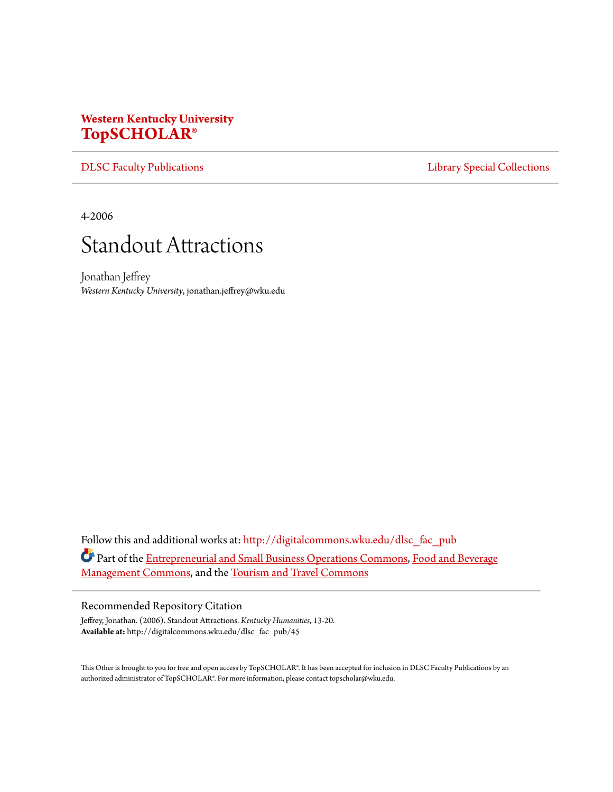## **Western Kentucky University [TopSCHOLAR®](http://digitalcommons.wku.edu?utm_source=digitalcommons.wku.edu%2Fdlsc_fac_pub%2F45&utm_medium=PDF&utm_campaign=PDFCoverPages)**

[DLSC Faculty Publications](http://digitalcommons.wku.edu/dlsc_fac_pub?utm_source=digitalcommons.wku.edu%2Fdlsc_fac_pub%2F45&utm_medium=PDF&utm_campaign=PDFCoverPages) **[Library Special Collections](http://digitalcommons.wku.edu/dlsc?utm_source=digitalcommons.wku.edu%2Fdlsc_fac_pub%2F45&utm_medium=PDF&utm_campaign=PDFCoverPages)** 

4-2006



Jonathan Jeffrey *Western Kentucky University*, jonathan.jeffrey@wku.edu

Follow this and additional works at: [http://digitalcommons.wku.edu/dlsc\\_fac\\_pub](http://digitalcommons.wku.edu/dlsc_fac_pub?utm_source=digitalcommons.wku.edu%2Fdlsc_fac_pub%2F45&utm_medium=PDF&utm_campaign=PDFCoverPages) Part of the [Entrepreneurial and Small Business Operations Commons](http://network.bepress.com/hgg/discipline/630?utm_source=digitalcommons.wku.edu%2Fdlsc_fac_pub%2F45&utm_medium=PDF&utm_campaign=PDFCoverPages), [Food and Beverage](http://network.bepress.com/hgg/discipline/1089?utm_source=digitalcommons.wku.edu%2Fdlsc_fac_pub%2F45&utm_medium=PDF&utm_campaign=PDFCoverPages) [Management Commons](http://network.bepress.com/hgg/discipline/1089?utm_source=digitalcommons.wku.edu%2Fdlsc_fac_pub%2F45&utm_medium=PDF&utm_campaign=PDFCoverPages), and the [Tourism and Travel Commons](http://network.bepress.com/hgg/discipline/1082?utm_source=digitalcommons.wku.edu%2Fdlsc_fac_pub%2F45&utm_medium=PDF&utm_campaign=PDFCoverPages)

## Recommended Repository Citation

Jeffrey, Jonathan. (2006). Standout Attractions. *Kentucky Humanities*, 13-20. **Available at:** http://digitalcommons.wku.edu/dlsc\_fac\_pub/45

This Other is brought to you for free and open access by TopSCHOLAR®. It has been accepted for inclusion in DLSC Faculty Publications by an authorized administrator of TopSCHOLAR®. For more information, please contact topscholar@wku.edu.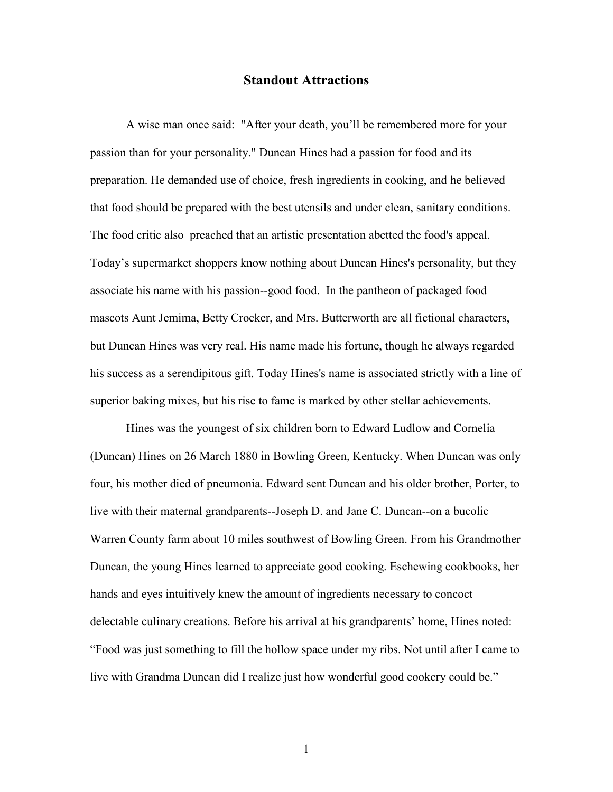## **Standout Attractions**

A wise man once said: "After your death, you'll be remembered more for your passion than for your personality." Duncan Hines had a passion for food and its preparation. He demanded use of choice, fresh ingredients in cooking, and he believed that food should be prepared with the best utensils and under clean, sanitary conditions. The food critic also preached that an artistic presentation abetted the food's appeal. Today's supermarket shoppers know nothing about Duncan Hines's personality, but they associate his name with his passion--good food. In the pantheon of packaged food mascots Aunt Jemima, Betty Crocker, and Mrs. Butterworth are all fictional characters, but Duncan Hines was very real. His name made his fortune, though he always regarded his success as a serendipitous gift. Today Hines's name is associated strictly with a line of superior baking mixes, but his rise to fame is marked by other stellar achievements.

Hines was the youngest of six children born to Edward Ludlow and Cornelia (Duncan) Hines on 26 March 1880 in Bowling Green, Kentucky. When Duncan was only four, his mother died of pneumonia. Edward sent Duncan and his older brother, Porter, to live with their maternal grandparents--Joseph D. and Jane C. Duncan--on a bucolic Warren County farm about 10 miles southwest of Bowling Green. From his Grandmother Duncan, the young Hines learned to appreciate good cooking. Eschewing cookbooks, her hands and eyes intuitively knew the amount of ingredients necessary to concoct delectable culinary creations. Before his arrival at his grandparents' home, Hines noted: "Food was just something to fill the hollow space under my ribs. Not until after I came to live with Grandma Duncan did I realize just how wonderful good cookery could be."

1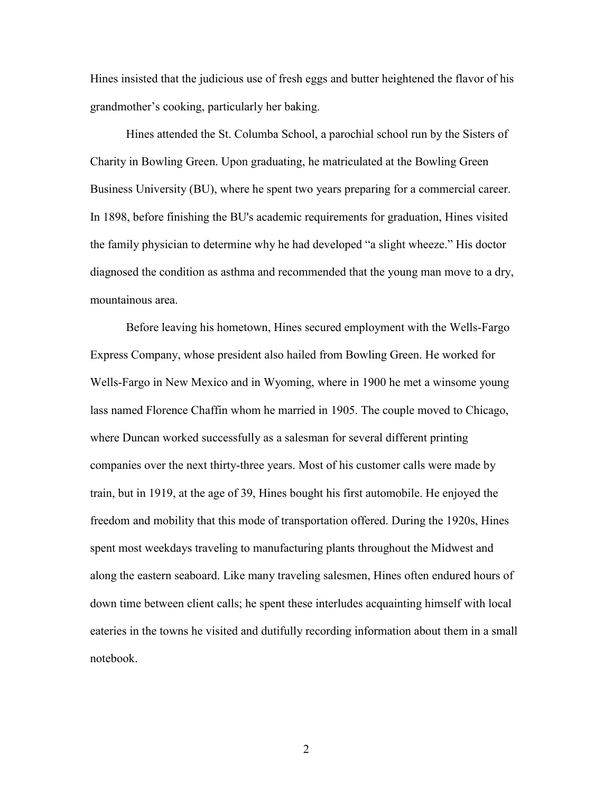Hines insisted that the judicious use of fresh eggs and butter heightened the flavor of his grandmother's cooking, particularly her baking.

Hines attended the St. Columba School, a parochial school run by the Sisters of Charity in Bowling Green. Upon graduating, he matriculated at the Bowling Green Business University (BU), where he spent two years preparing for a commercial career. In 1898, before finishing the BU's academic requirements for graduation, Hines visited the family physician to determine why he had developed "a slight wheeze." His doctor diagnosed the condition as asthma and recommended that the young man move to a dry, mountainous area.

Before leaving his hometown, Hines secured employment with the Wells-Fargo Express Company, whose president also hailed from Bowling Green. He worked for Wells-Fargo in New Mexico and in Wyoming, where in 1900 he met a winsome young lass named Florence Chaffin whom he married in 1905. The couple moved to Chicago, where Duncan worked successfully as a salesman for several different printing companies over the next thirty-three years. Most of his customer calls were made by train, but in 1919, at the age of 39, Hines bought his first automobile. He enjoyed the freedom and mobility that this mode of transportation offered. During the 1920s, Hines spent most weekdays traveling to manufacturing plants throughout the Midwest and along the eastern seaboard. Like many traveling salesmen, Hines often endured hours of down time between client calls; he spent these interludes acquainting himself with local eateries in the towns he visited and dutifully recording information about them in a small notebook.

2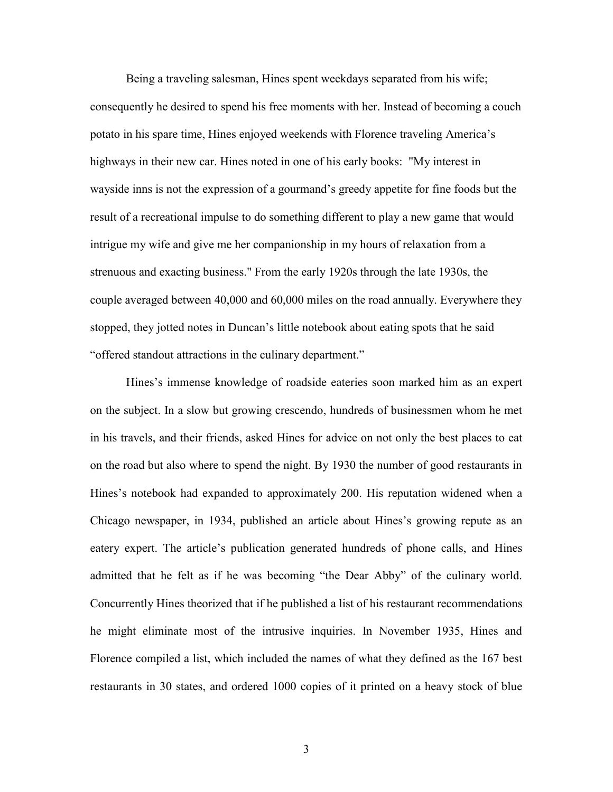Being a traveling salesman, Hines spent weekdays separated from his wife; consequently he desired to spend his free moments with her. Instead of becoming a couch potato in his spare time, Hines enjoyed weekends with Florence traveling America's highways in their new car. Hines noted in one of his early books: "My interest in wayside inns is not the expression of a gourmand's greedy appetite for fine foods but the result of a recreational impulse to do something different to play a new game that would intrigue my wife and give me her companionship in my hours of relaxation from a strenuous and exacting business." From the early 1920s through the late 1930s, the couple averaged between 40,000 and 60,000 miles on the road annually. Everywhere they stopped, they jotted notes in Duncan's little notebook about eating spots that he said "offered standout attractions in the culinary department."

Hines's immense knowledge of roadside eateries soon marked him as an expert on the subject. In a slow but growing crescendo, hundreds of businessmen whom he met in his travels, and their friends, asked Hines for advice on not only the best places to eat on the road but also where to spend the night. By 1930 the number of good restaurants in Hines's notebook had expanded to approximately 200. His reputation widened when a Chicago newspaper, in 1934, published an article about Hines's growing repute as an eatery expert. The article's publication generated hundreds of phone calls, and Hines admitted that he felt as if he was becoming "the Dear Abby" of the culinary world. Concurrently Hines theorized that if he published a list of his restaurant recommendations he might eliminate most of the intrusive inquiries. In November 1935, Hines and Florence compiled a list, which included the names of what they defined as the 167 best restaurants in 30 states, and ordered 1000 copies of it printed on a heavy stock of blue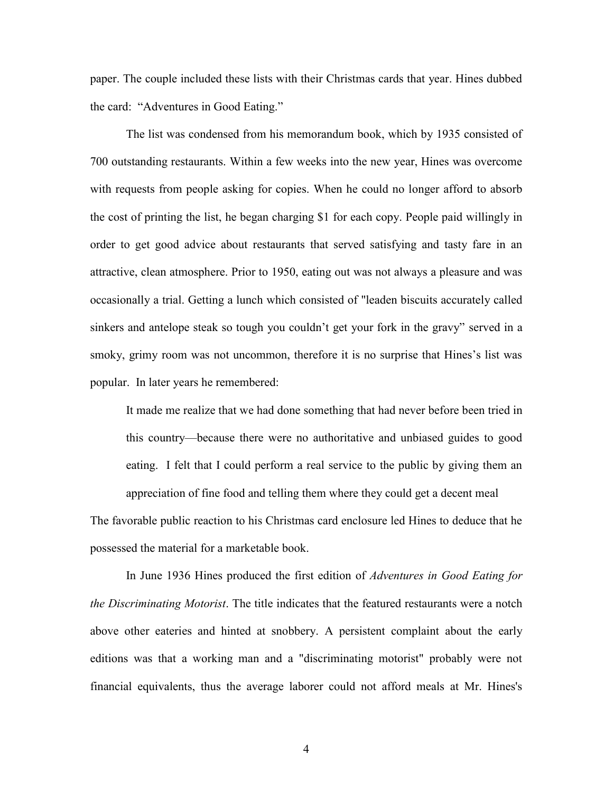paper. The couple included these lists with their Christmas cards that year. Hines dubbed the card: "Adventures in Good Eating."

The list was condensed from his memorandum book, which by 1935 consisted of 700 outstanding restaurants. Within a few weeks into the new year, Hines was overcome with requests from people asking for copies. When he could no longer afford to absorb the cost of printing the list, he began charging \$1 for each copy. People paid willingly in order to get good advice about restaurants that served satisfying and tasty fare in an attractive, clean atmosphere. Prior to 1950, eating out was not always a pleasure and was occasionally a trial. Getting a lunch which consisted of "leaden biscuits accurately called sinkers and antelope steak so tough you couldn't get your fork in the gravy" served in a smoky, grimy room was not uncommon, therefore it is no surprise that Hines's list was popular. In later years he remembered:

It made me realize that we had done something that had never before been tried in this country—because there were no authoritative and unbiased guides to good eating. I felt that I could perform a real service to the public by giving them an appreciation of fine food and telling them where they could get a decent meal

The favorable public reaction to his Christmas card enclosure led Hines to deduce that he possessed the material for a marketable book.

In June 1936 Hines produced the first edition of *Adventures in Good Eating for the Discriminating Motorist*. The title indicates that the featured restaurants were a notch above other eateries and hinted at snobbery. A persistent complaint about the early editions was that a working man and a "discriminating motorist" probably were not financial equivalents, thus the average laborer could not afford meals at Mr. Hines's

4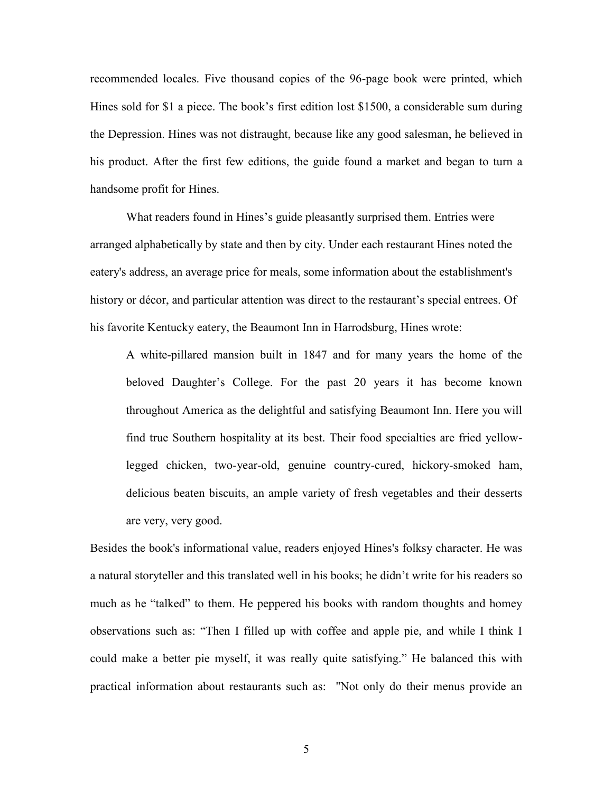recommended locales. Five thousand copies of the 96-page book were printed, which Hines sold for \$1 a piece. The book's first edition lost \$1500, a considerable sum during the Depression. Hines was not distraught, because like any good salesman, he believed in his product. After the first few editions, the guide found a market and began to turn a handsome profit for Hines.

What readers found in Hines's guide pleasantly surprised them. Entries were arranged alphabetically by state and then by city. Under each restaurant Hines noted the eatery's address, an average price for meals, some information about the establishment's history or décor, and particular attention was direct to the restaurant's special entrees. Of his favorite Kentucky eatery, the Beaumont Inn in Harrodsburg, Hines wrote:

A white-pillared mansion built in 1847 and for many years the home of the beloved Daughter's College. For the past 20 years it has become known throughout America as the delightful and satisfying Beaumont Inn. Here you will find true Southern hospitality at its best. Their food specialties are fried yellowlegged chicken, two-year-old, genuine country-cured, hickory-smoked ham, delicious beaten biscuits, an ample variety of fresh vegetables and their desserts are very, very good.

Besides the book's informational value, readers enjoyed Hines's folksy character. He was a natural storyteller and this translated well in his books; he didn't write for his readers so much as he "talked" to them. He peppered his books with random thoughts and homey observations such as: "Then I filled up with coffee and apple pie, and while I think I could make a better pie myself, it was really quite satisfying." He balanced this with practical information about restaurants such as: "Not only do their menus provide an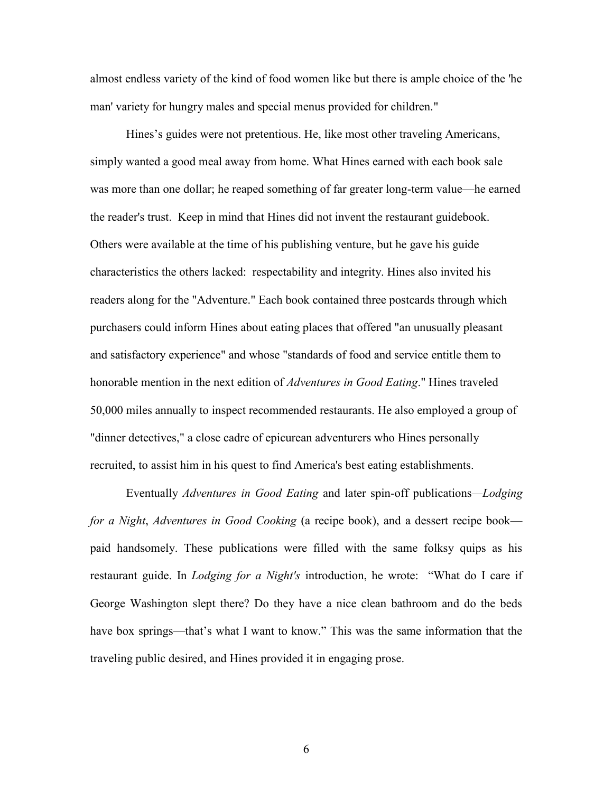almost endless variety of the kind of food women like but there is ample choice of the 'he man' variety for hungry males and special menus provided for children."

Hines's guides were not pretentious. He, like most other traveling Americans, simply wanted a good meal away from home. What Hines earned with each book sale was more than one dollar; he reaped something of far greater long-term value—he earned the reader's trust. Keep in mind that Hines did not invent the restaurant guidebook. Others were available at the time of his publishing venture, but he gave his guide characteristics the others lacked: respectability and integrity. Hines also invited his readers along for the "Adventure." Each book contained three postcards through which purchasers could inform Hines about eating places that offered "an unusually pleasant and satisfactory experience" and whose "standards of food and service entitle them to honorable mention in the next edition of *Adventures in Good Eating*." Hines traveled 50,000 miles annually to inspect recommended restaurants. He also employed a group of "dinner detectives," a close cadre of epicurean adventurers who Hines personally recruited, to assist him in his quest to find America's best eating establishments.

Eventually *Adventures in Good Eating* and later spin-off publications*—Lodging for a Night*, *Adventures in Good Cooking* (a recipe book), and a dessert recipe book paid handsomely. These publications were filled with the same folksy quips as his restaurant guide. In *Lodging for a Night's* introduction, he wrote: "What do I care if George Washington slept there? Do they have a nice clean bathroom and do the beds have box springs—that's what I want to know." This was the same information that the traveling public desired, and Hines provided it in engaging prose.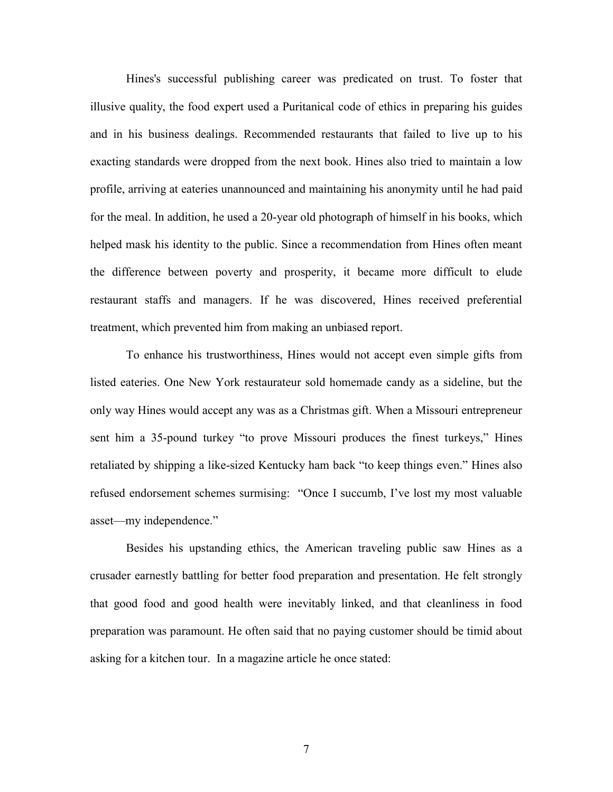Hines's successful publishing career was predicated on trust. To foster that illusive quality, the food expert used a Puritanical code of ethics in preparing his guides and in his business dealings. Recommended restaurants that failed to live up to his exacting standards were dropped from the next book. Hines also tried to maintain a low profile, arriving at eateries unannounced and maintaining his anonymity until he had paid for the meal. In addition, he used a 20-year old photograph of himself in his books, which helped mask his identity to the public. Since a recommendation from Hines often meant the difference between poverty and prosperity, it became more difficult to elude restaurant staffs and managers. If he was discovered, Hines received preferential treatment, which prevented him from making an unbiased report.

To enhance his trustworthiness, Hines would not accept even simple gifts from listed eateries. One New York restaurateur sold homemade candy as a sideline, but the only way Hines would accept any was as a Christmas gift. When a Missouri entrepreneur sent him a 35-pound turkey "to prove Missouri produces the finest turkeys," Hines retaliated by shipping a like-sized Kentucky ham back "to keep things even." Hines also refused endorsement schemes surmising: "Once I succumb, I've lost my most valuable asset—my independence."

Besides his upstanding ethics, the American traveling public saw Hines as a crusader earnestly battling for better food preparation and presentation. He felt strongly that good food and good health were inevitably linked, and that cleanliness in food preparation was paramount. He often said that no paying customer should be timid about asking for a kitchen tour. In a magazine article he once stated: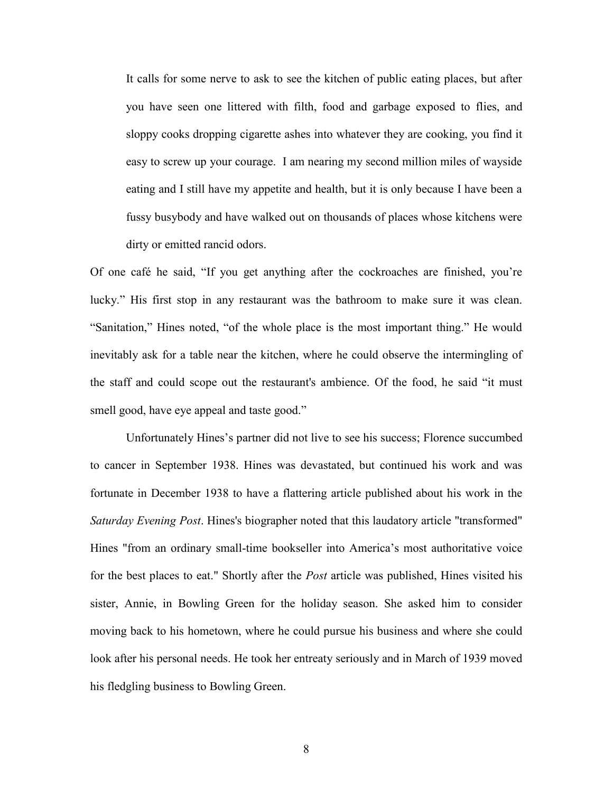It calls for some nerve to ask to see the kitchen of public eating places, but after you have seen one littered with filth, food and garbage exposed to flies, and sloppy cooks dropping cigarette ashes into whatever they are cooking, you find it easy to screw up your courage. I am nearing my second million miles of wayside eating and I still have my appetite and health, but it is only because I have been a fussy busybody and have walked out on thousands of places whose kitchens were dirty or emitted rancid odors.

Of one café he said, "If you get anything after the cockroaches are finished, you're lucky." His first stop in any restaurant was the bathroom to make sure it was clean. "Sanitation," Hines noted, "of the whole place is the most important thing." He would inevitably ask for a table near the kitchen, where he could observe the intermingling of the staff and could scope out the restaurant's ambience. Of the food, he said "it must smell good, have eye appeal and taste good."

Unfortunately Hines's partner did not live to see his success; Florence succumbed to cancer in September 1938. Hines was devastated, but continued his work and was fortunate in December 1938 to have a flattering article published about his work in the *Saturday Evening Post*. Hines's biographer noted that this laudatory article "transformed" Hines "from an ordinary small-time bookseller into America's most authoritative voice for the best places to eat." Shortly after the *Post* article was published, Hines visited his sister, Annie, in Bowling Green for the holiday season. She asked him to consider moving back to his hometown, where he could pursue his business and where she could look after his personal needs. He took her entreaty seriously and in March of 1939 moved his fledgling business to Bowling Green.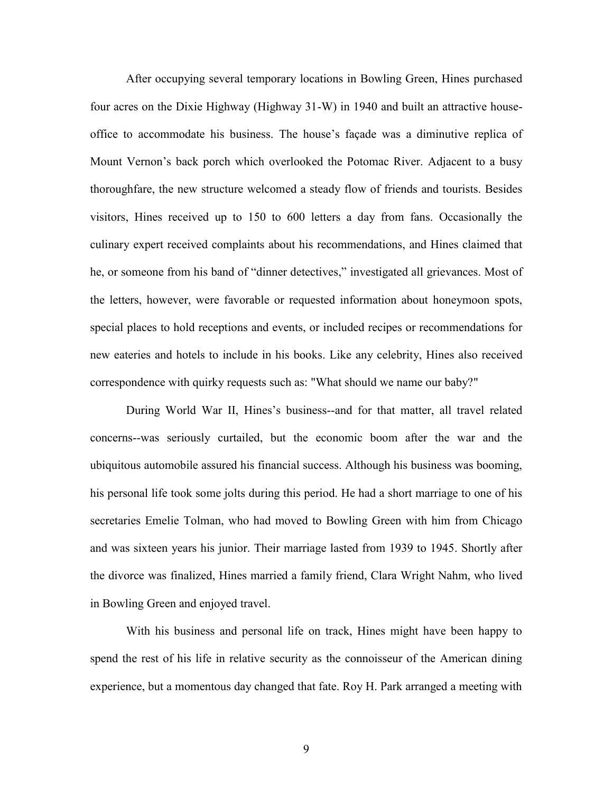After occupying several temporary locations in Bowling Green, Hines purchased four acres on the Dixie Highway (Highway 31-W) in 1940 and built an attractive houseoffice to accommodate his business. The house's façade was a diminutive replica of Mount Vernon's back porch which overlooked the Potomac River. Adjacent to a busy thoroughfare, the new structure welcomed a steady flow of friends and tourists. Besides visitors, Hines received up to 150 to 600 letters a day from fans. Occasionally the culinary expert received complaints about his recommendations, and Hines claimed that he, or someone from his band of "dinner detectives," investigated all grievances. Most of the letters, however, were favorable or requested information about honeymoon spots, special places to hold receptions and events, or included recipes or recommendations for new eateries and hotels to include in his books. Like any celebrity, Hines also received correspondence with quirky requests such as: "What should we name our baby?"

During World War II, Hines's business--and for that matter, all travel related concerns--was seriously curtailed, but the economic boom after the war and the ubiquitous automobile assured his financial success. Although his business was booming, his personal life took some jolts during this period. He had a short marriage to one of his secretaries Emelie Tolman, who had moved to Bowling Green with him from Chicago and was sixteen years his junior. Their marriage lasted from 1939 to 1945. Shortly after the divorce was finalized, Hines married a family friend, Clara Wright Nahm, who lived in Bowling Green and enjoyed travel.

With his business and personal life on track, Hines might have been happy to spend the rest of his life in relative security as the connoisseur of the American dining experience, but a momentous day changed that fate. Roy H. Park arranged a meeting with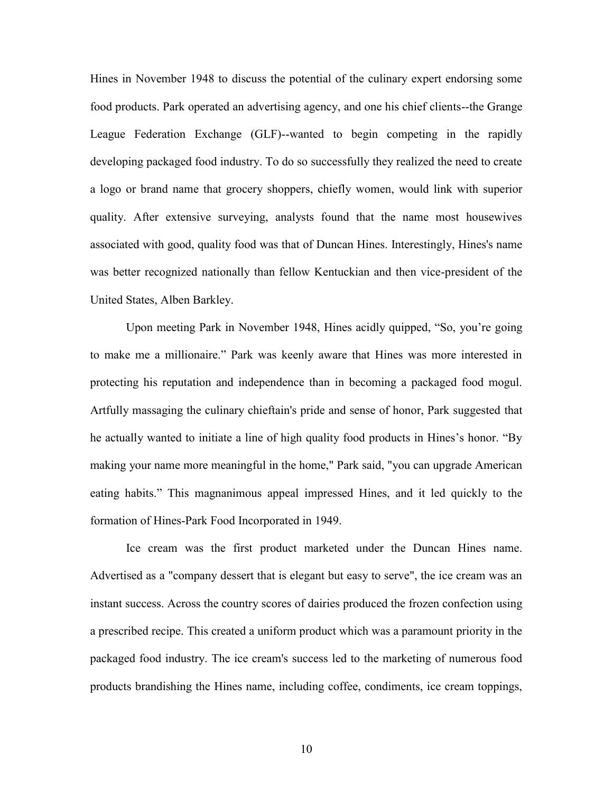Hines in November 1948 to discuss the potential of the culinary expert endorsing some food products. Park operated an advertising agency, and one his chief clients--the Grange League Federation Exchange (GLF)--wanted to begin competing in the rapidly developing packaged food industry. To do so successfully they realized the need to create a logo or brand name that grocery shoppers, chiefly women, would link with superior quality. After extensive surveying, analysts found that the name most housewives associated with good, quality food was that of Duncan Hines. Interestingly, Hines's name was better recognized nationally than fellow Kentuckian and then vice-president of the United States, Alben Barkley.

Upon meeting Park in November 1948, Hines acidly quipped, "So, you're going to make me a millionaire." Park was keenly aware that Hines was more interested in protecting his reputation and independence than in becoming a packaged food mogul. Artfully massaging the culinary chieftain's pride and sense of honor, Park suggested that he actually wanted to initiate a line of high quality food products in Hines's honor. "By making your name more meaningful in the home," Park said, "you can upgrade American eating habits." This magnanimous appeal impressed Hines, and it led quickly to the formation of Hines-Park Food Incorporated in 1949.

Ice cream was the first product marketed under the Duncan Hines name. Advertised as a "company dessert that is elegant but easy to serve", the ice cream was an instant success. Across the country scores of dairies produced the frozen confection using a prescribed recipe. This created a uniform product which was a paramount priority in the packaged food industry. The ice cream's success led to the marketing of numerous food products brandishing the Hines name, including coffee, condiments, ice cream toppings,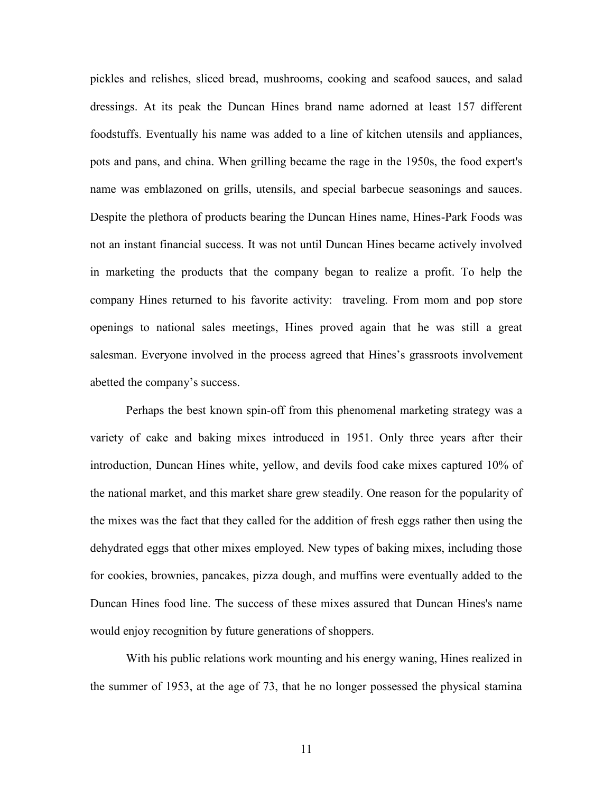pickles and relishes, sliced bread, mushrooms, cooking and seafood sauces, and salad dressings. At its peak the Duncan Hines brand name adorned at least 157 different foodstuffs. Eventually his name was added to a line of kitchen utensils and appliances, pots and pans, and china. When grilling became the rage in the 1950s, the food expert's name was emblazoned on grills, utensils, and special barbecue seasonings and sauces. Despite the plethora of products bearing the Duncan Hines name, Hines-Park Foods was not an instant financial success. It was not until Duncan Hines became actively involved in marketing the products that the company began to realize a profit. To help the company Hines returned to his favorite activity: traveling. From mom and pop store openings to national sales meetings, Hines proved again that he was still a great salesman. Everyone involved in the process agreed that Hines's grassroots involvement abetted the company's success.

Perhaps the best known spin-off from this phenomenal marketing strategy was a variety of cake and baking mixes introduced in 1951. Only three years after their introduction, Duncan Hines white, yellow, and devils food cake mixes captured 10% of the national market, and this market share grew steadily. One reason for the popularity of the mixes was the fact that they called for the addition of fresh eggs rather then using the dehydrated eggs that other mixes employed. New types of baking mixes, including those for cookies, brownies, pancakes, pizza dough, and muffins were eventually added to the Duncan Hines food line. The success of these mixes assured that Duncan Hines's name would enjoy recognition by future generations of shoppers.

With his public relations work mounting and his energy waning, Hines realized in the summer of 1953, at the age of 73, that he no longer possessed the physical stamina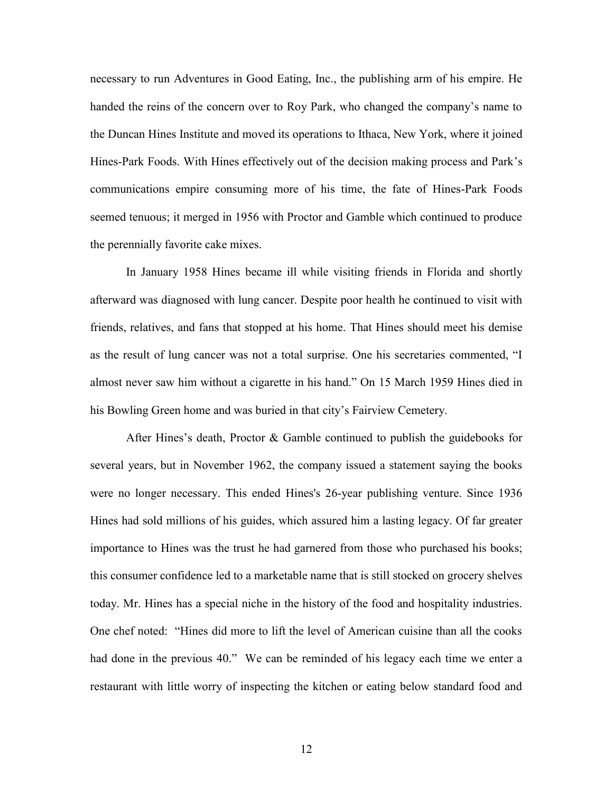necessary to run Adventures in Good Eating, Inc., the publishing arm of his empire. He handed the reins of the concern over to Roy Park, who changed the company's name to the Duncan Hines Institute and moved its operations to Ithaca, New York, where it joined Hines-Park Foods. With Hines effectively out of the decision making process and Park's communications empire consuming more of his time, the fate of Hines-Park Foods seemed tenuous; it merged in 1956 with Proctor and Gamble which continued to produce the perennially favorite cake mixes.

In January 1958 Hines became ill while visiting friends in Florida and shortly afterward was diagnosed with lung cancer. Despite poor health he continued to visit with friends, relatives, and fans that stopped at his home. That Hines should meet his demise as the result of lung cancer was not a total surprise. One his secretaries commented, "I almost never saw him without a cigarette in his hand." On 15 March 1959 Hines died in his Bowling Green home and was buried in that city's Fairview Cemetery.

After Hines's death, Proctor & Gamble continued to publish the guidebooks for several years, but in November 1962, the company issued a statement saying the books were no longer necessary. This ended Hines's 26-year publishing venture. Since 1936 Hines had sold millions of his guides, which assured him a lasting legacy. Of far greater importance to Hines was the trust he had garnered from those who purchased his books; this consumer confidence led to a marketable name that is still stocked on grocery shelves today. Mr. Hines has a special niche in the history of the food and hospitality industries. One chef noted: "Hines did more to lift the level of American cuisine than all the cooks had done in the previous 40." We can be reminded of his legacy each time we enter a restaurant with little worry of inspecting the kitchen or eating below standard food and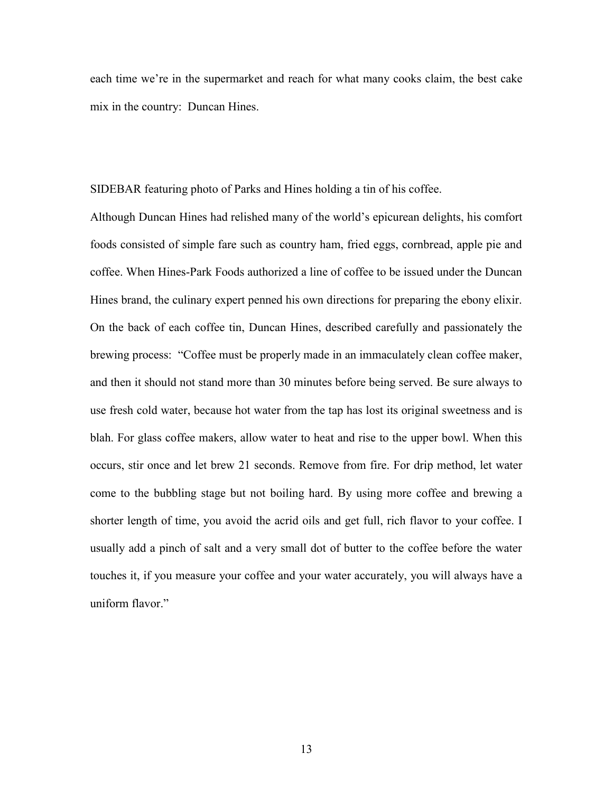each time we're in the supermarket and reach for what many cooks claim, the best cake mix in the country: Duncan Hines.

SIDEBAR featuring photo of Parks and Hines holding a tin of his coffee.

Although Duncan Hines had relished many of the world's epicurean delights, his comfort foods consisted of simple fare such as country ham, fried eggs, cornbread, apple pie and coffee. When Hines-Park Foods authorized a line of coffee to be issued under the Duncan Hines brand, the culinary expert penned his own directions for preparing the ebony elixir. On the back of each coffee tin, Duncan Hines, described carefully and passionately the brewing process: "Coffee must be properly made in an immaculately clean coffee maker, and then it should not stand more than 30 minutes before being served. Be sure always to use fresh cold water, because hot water from the tap has lost its original sweetness and is blah. For glass coffee makers, allow water to heat and rise to the upper bowl. When this occurs, stir once and let brew 21 seconds. Remove from fire. For drip method, let water come to the bubbling stage but not boiling hard. By using more coffee and brewing a shorter length of time, you avoid the acrid oils and get full, rich flavor to your coffee. I usually add a pinch of salt and a very small dot of butter to the coffee before the water touches it, if you measure your coffee and your water accurately, you will always have a uniform flavor."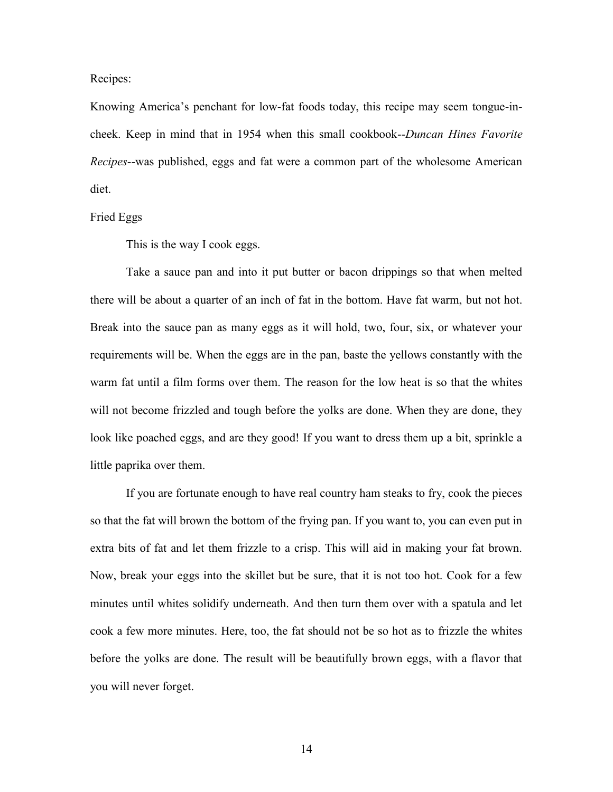Recipes:

Knowing America's penchant for low-fat foods today, this recipe may seem tongue-incheek. Keep in mind that in 1954 when this small cookbook--*Duncan Hines Favorite Recipes*--was published, eggs and fat were a common part of the wholesome American diet.

## Fried Eggs

This is the way I cook eggs.

Take a sauce pan and into it put butter or bacon drippings so that when melted there will be about a quarter of an inch of fat in the bottom. Have fat warm, but not hot. Break into the sauce pan as many eggs as it will hold, two, four, six, or whatever your requirements will be. When the eggs are in the pan, baste the yellows constantly with the warm fat until a film forms over them. The reason for the low heat is so that the whites will not become frizzled and tough before the yolks are done. When they are done, they look like poached eggs, and are they good! If you want to dress them up a bit, sprinkle a little paprika over them.

If you are fortunate enough to have real country ham steaks to fry, cook the pieces so that the fat will brown the bottom of the frying pan. If you want to, you can even put in extra bits of fat and let them frizzle to a crisp. This will aid in making your fat brown. Now, break your eggs into the skillet but be sure, that it is not too hot. Cook for a few minutes until whites solidify underneath. And then turn them over with a spatula and let cook a few more minutes. Here, too, the fat should not be so hot as to frizzle the whites before the yolks are done. The result will be beautifully brown eggs, with a flavor that you will never forget.